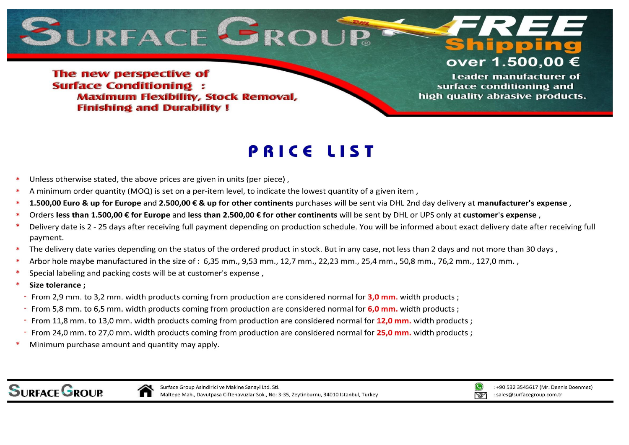

**Shippin** over 1.500,00 €

The new perspective of **Surface Conditioning: Maximum Flexibility, Stock Removal, Finishing and Durability!** 

**Leader manufacturer of** surface conditioning and high quality abrasive products.

## **PRICE LIST**

- Unless otherwise stated, the above prices are given in units (per piece),
- A minimum order quantity (MOQ) is set on a per-item level, to indicate the lowest quantity of a given item,
- 1.500.00 Euro & up for Europe and 2.500.00 € & up for other continents purchases will be sent via DHL 2nd day delivery at manufacturer's expense.
- Orders less than 1.500,00 € for Europe and less than 2.500,00 € for other continents will be sent by DHL or UPS only at customer's expense,
- Delivery date is 2 25 days after receiving full payment depending on production schedule. You will be informed about exact delivery date after receiving full payment.
- The delivery date varies depending on the status of the ordered product in stock. But in any case, not less than 2 days and not more than 30 days,
- Arbor hole maybe manufactured in the size of: 6,35 mm., 9,53 mm., 12,7 mm., 22,23 mm., 25,4 mm., 50,8 mm., 76,2 mm., 127,0 mm.,
- Special labeling and packing costs will be at customer's expense,
- Size tolerance;
- From 2.9 mm, to 3.2 mm, width products coming from production are considered normal for 3.0 mm, width products :
- From 5,8 mm. to 6,5 mm. width products coming from production are considered normal for 6,0 mm. width products;
- From 11,8 mm. to 13,0 mm. width products coming from production are considered normal for 12,0 mm. width products;
- From 24.0 mm, to 27.0 mm, width products coming from production are considered normal for 25.0 mm, width products :
- Minimum purchase amount and quantity may apply.

**SURFACE GROUP** 





: +90 532 3545617 (Mr. Dennis Doenmez) : sales@surfacegroup.com.tr